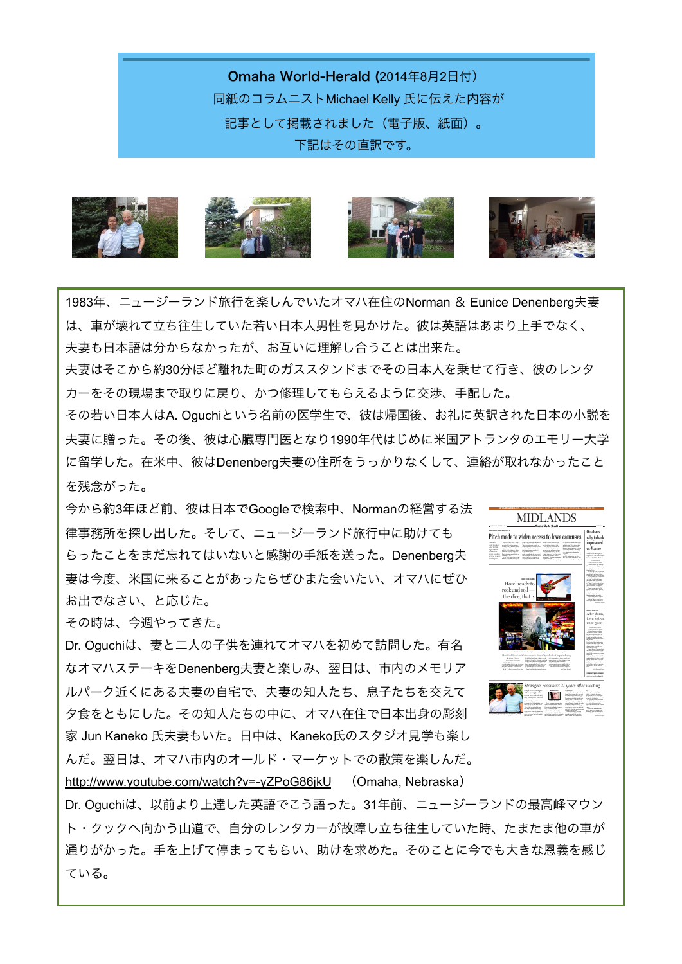Omaha World-Herald (2014年8月2日付) 同紙のコラムニストMichael Kelly 氏に伝えた内容が 記事として掲載されました(電子版、紙面)。 下記はその直訳です。









1983年、ニュージーランド旅行を楽しんでいたオマハ在住のNorman & Eunice Denenberg夫妻 は、車が壊れて立ち往生していた若い日本人男性を見かけた。彼は英語はあまり上手でなく、 夫妻も日本語は分からなかったが、お互いに理解し合うことは出来た。

夫妻はそこから約30分ほど離れた町のガススタンドまでその日本人を乗せて行き、彼のレンタ カーをその現場まで取りに戻り、かつ修理してもらえるように交渉、手配した。

その若い日本人はA. Oguchiという名前の医学生で、彼は帰国後、お礼に英訳された日本の小説を 夫妻に贈った。その後、彼は心臓専門医となり1990年代はじめに米国アトランタのエモリー大学 に留学した。在米中、彼はDenenberg夫妻の住所をうっかりなくして、連絡が取れなかったこと を残念がった。

今から約3年ほど前、彼は日本でGoogleで検索中、Normanの経営する法 律事務所を探し出した。そして、ニュージーランド旅行中に助けても らったことをまだ忘れてはいないと感謝の手紙を送った。Denenberg夫 妻は今度、米国に来ることがあったらぜひまた会いたい、オマハにぜひ お出でなさい、と応じた。

その時は、今週やってきた。

Dr. Oguchiは、妻と二人の子供を連れてオマハを初めて訪問した。有名 なオマハステーキをDenenberg夫妻と楽しみ、翌日は、市内のメモリア ルパーク近くにある夫妻の自宅で、夫妻の知人たち、息子たちを交えて 夕食をともにした。その知人たちの中に、オマハ在住で日本出身の彫刻 家 Jun Kaneko 氏夫妻もいた。日中は、Kaneko氏のスタジオ見学も楽し んだ。翌日は、オマハ市内のオールド・マーケットでの散策を楽しんだ。 <http://www.youtube.com/watch?v=-yZPoG86jkU> (Omaha, Nebraska)



Dr. Oguchiは、以前より上達した英語でこう語った。31年前、ニュージーランドの最高峰マウン ト・クックへ向かう山道で、自分のレンタカーが故障し立ち往生していた時、たまたま他の車が 通りがかった。手を上げて停まってもらい、助けを求めた。そのことに今でも大きな恩義を感じ ている。